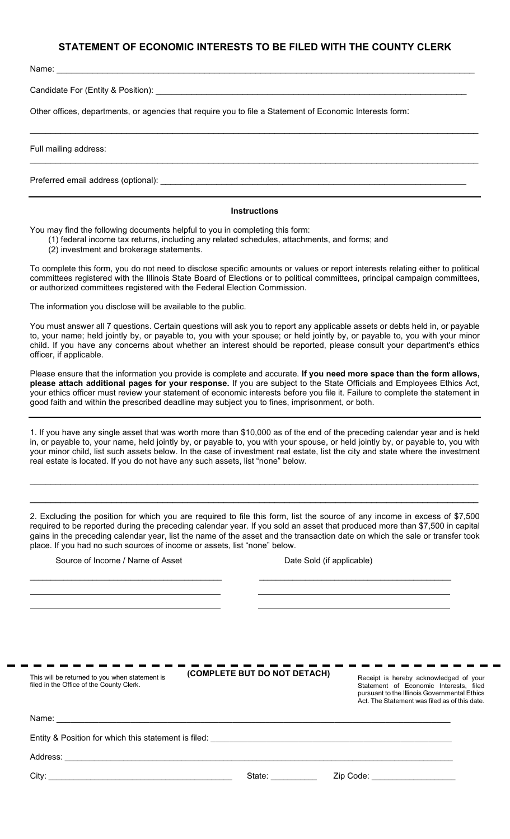## **STATEMENT OF ECONOMIC INTERESTS TO BE FILED WITH THE COUNTY CLERK**

 $\_$  , and the set of the set of the set of the set of the set of the set of the set of the set of the set of the set of the set of the set of the set of the set of the set of the set of the set of the set of the set of th

 $\_$  , and the set of the set of the set of the set of the set of the set of the set of the set of the set of the set of the set of the set of the set of the set of the set of the set of the set of the set of the set of th

Name: \_\_\_\_\_\_\_\_\_\_\_\_\_\_\_\_\_\_\_\_\_\_\_\_\_\_\_\_\_\_\_\_\_\_\_\_\_\_\_\_\_\_\_\_\_\_\_\_\_\_\_\_\_\_\_\_\_\_\_\_\_\_\_\_\_\_\_\_\_\_\_\_\_\_\_\_\_\_\_\_\_\_

Candidate For (Entity & Position): \_

Other offices, departments, or agencies that require you to file a Statement of Economic Interests form:

Full mailing address:

Preferred email address (optional): \_\_\_\_\_\_\_\_\_\_\_\_\_\_\_\_\_\_\_\_\_\_\_\_\_\_\_\_\_\_\_\_\_\_\_\_\_\_\_\_\_\_\_\_\_\_\_\_\_\_\_\_\_\_\_\_\_\_\_\_

## **Instructions**

You may find the following documents helpful to you in completing this form:

(1) federal income tax returns, including any related schedules, attachments, and forms; and

(2) investment and brokerage statements.

To complete this form, you do not need to disclose specific amounts or values or report interests relating either to political committees registered with the Illinois State Board of Elections or to political committees, principal campaign committees, or authorized committees registered with the Federal Election Commission.

The information you disclose will be available to the public.

You must answer all 7 questions. Certain questions will ask you to report any applicable assets or debts held in, or payable to, your name; held jointly by, or payable to, you with your spouse; or held jointly by, or payable to, you with your minor child. If you have any concerns about whether an interest should be reported, please consult your department's ethics officer, if applicable.

Please ensure that the information you provide is complete and accurate. **If you need more space than the form allows, please attach additional pages for your response.** If you are subject to the State Officials and Employees Ethics Act, your ethics officer must review your statement of economic interests before you file it. Failure to complete the statement in good faith and within the prescribed deadline may subject you to fines, imprisonment, or both.

1. If you have any single asset that was worth more than \$10,000 as of the end of the preceding calendar year and is held in, or payable to, your name, held jointly by, or payable to, you with your spouse, or held jointly by, or payable to, you with your minor child, list such assets below. In the case of investment real estate, list the city and state where the investment real estate is located. If you do not have any such assets, list "none" below.

 $\_$  ,  $\_$  ,  $\_$  ,  $\_$  ,  $\_$  ,  $\_$  ,  $\_$  ,  $\_$  ,  $\_$  ,  $\_$  ,  $\_$  ,  $\_$  ,  $\_$  ,  $\_$  ,  $\_$  ,  $\_$  ,  $\_$  ,  $\_$  ,  $\_$  ,  $\_$  ,  $\_$  ,  $\_$  ,  $\_$  ,  $\_$  ,  $\_$  ,  $\_$  ,  $\_$  ,  $\_$  ,  $\_$  ,  $\_$  ,  $\_$  ,  $\_$  ,  $\_$  ,  $\_$  ,  $\_$  ,  $\_$  ,  $\_$  ,

 $\_$  ,  $\_$  ,  $\_$  ,  $\_$  ,  $\_$  ,  $\_$  ,  $\_$  ,  $\_$  ,  $\_$  ,  $\_$  ,  $\_$  ,  $\_$  ,  $\_$  ,  $\_$  ,  $\_$  ,  $\_$  ,  $\_$  ,  $\_$  ,  $\_$  ,  $\_$  ,  $\_$  ,  $\_$  ,  $\_$  ,  $\_$  ,  $\_$  ,  $\_$  ,  $\_$  ,  $\_$  ,  $\_$  ,  $\_$  ,  $\_$  ,  $\_$  ,  $\_$  ,  $\_$  ,  $\_$  ,  $\_$  ,  $\_$  ,

2. Excluding the position for which you are required to file this form, list the source of any income in excess of \$7,500 required to be reported during the preceding calendar year. If you sold an asset that produced more than \$7,500 in capital gains in the preceding calendar year, list the name of the asset and the transaction date on which the sale or transfer took place. If you had no such sources of income or assets, list "none" below.

| Source of Income / Name of Asset                                                           | Date Sold (if applicable)                                   |                                                                                                                                                                                  |
|--------------------------------------------------------------------------------------------|-------------------------------------------------------------|----------------------------------------------------------------------------------------------------------------------------------------------------------------------------------|
|                                                                                            | <u> 1989 - Johann Stoff, amerikansk politiker (d. 1989)</u> |                                                                                                                                                                                  |
| This will be returned to you when statement is<br>filed in the Office of the County Clerk. | (COMPLETE BUT DO NOT DETACH)                                | Receipt is hereby acknowledged of your<br>Statement of Economic Interests, filed<br>pursuant to the Illinois Governmental Ethics<br>Act. The Statement was filed as of this date |
|                                                                                            |                                                             |                                                                                                                                                                                  |
|                                                                                            |                                                             |                                                                                                                                                                                  |
|                                                                                            |                                                             |                                                                                                                                                                                  |
|                                                                                            | State: ___________                                          | Zip Code: _____________________                                                                                                                                                  |